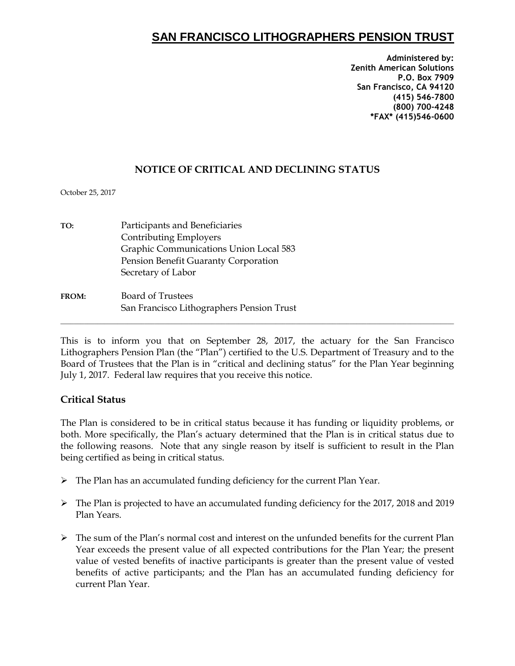# **SAN FRANCISCO LITHOGRAPHERS PENSION TRUST**

**Administered by: Zenith American Solutions P.O. Box 7909 San Francisco, CA 94120 (415) 546-7800 (800) 700-4248 \*FAX\* (415)546-0600**

### **NOTICE OF CRITICAL AND DECLINING STATUS**

October 25, 2017

| TO:          | Participants and Beneficiaries            |
|--------------|-------------------------------------------|
|              | Contributing Employers                    |
|              | Graphic Communications Union Local 583    |
|              | Pension Benefit Guaranty Corporation      |
|              | Secretary of Labor                        |
| <b>FROM:</b> | <b>Board of Trustees</b>                  |
|              | San Francisco Lithographers Pension Trust |
|              |                                           |

This is to inform you that on September 28, 2017, the actuary for the San Francisco Lithographers Pension Plan (the "Plan") certified to the U.S. Department of Treasury and to the Board of Trustees that the Plan is in "critical and declining status" for the Plan Year beginning July 1, 2017. Federal law requires that you receive this notice.

#### **Critical Status**

The Plan is considered to be in critical status because it has funding or liquidity problems, or both. More specifically, the Plan's actuary determined that the Plan is in critical status due to the following reasons. Note that any single reason by itself is sufficient to result in the Plan being certified as being in critical status.

- The Plan has an accumulated funding deficiency for the current Plan Year.
- The Plan is projected to have an accumulated funding deficiency for the 2017, 2018 and 2019 Plan Years.
- $\triangleright$  The sum of the Plan's normal cost and interest on the unfunded benefits for the current Plan Year exceeds the present value of all expected contributions for the Plan Year; the present value of vested benefits of inactive participants is greater than the present value of vested benefits of active participants; and the Plan has an accumulated funding deficiency for current Plan Year.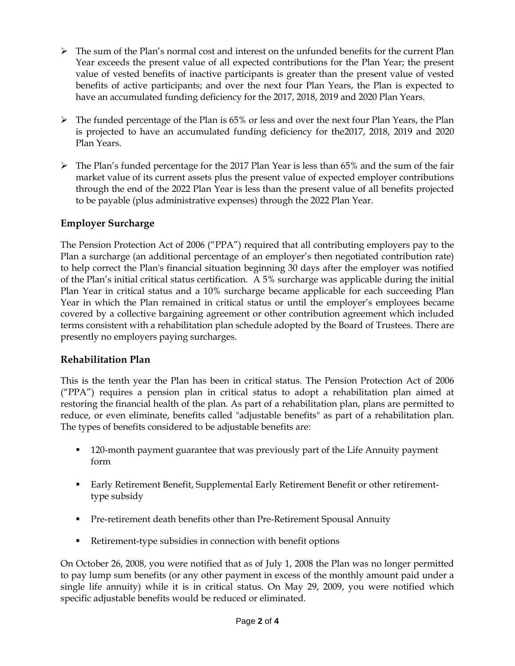- $\triangleright$  The sum of the Plan's normal cost and interest on the unfunded benefits for the current Plan Year exceeds the present value of all expected contributions for the Plan Year; the present value of vested benefits of inactive participants is greater than the present value of vested benefits of active participants; and over the next four Plan Years, the Plan is expected to have an accumulated funding deficiency for the 2017, 2018, 2019 and 2020 Plan Years.
- $\triangleright$  The funded percentage of the Plan is 65% or less and over the next four Plan Years, the Plan is projected to have an accumulated funding deficiency for the2017, 2018, 2019 and 2020 Plan Years.
- The Plan's funded percentage for the 2017 Plan Year is less than 65% and the sum of the fair market value of its current assets plus the present value of expected employer contributions through the end of the 2022 Plan Year is less than the present value of all benefits projected to be payable (plus administrative expenses) through the 2022 Plan Year.

### **Employer Surcharge**

The Pension Protection Act of 2006 ("PPA") required that all contributing employers pay to the Plan a surcharge (an additional percentage of an employer's then negotiated contribution rate) to help correct the Plan's financial situation beginning 30 days after the employer was notified of the Plan's initial critical status certification. A 5% surcharge was applicable during the initial Plan Year in critical status and a 10% surcharge became applicable for each succeeding Plan Year in which the Plan remained in critical status or until the employer's employees became covered by a collective bargaining agreement or other contribution agreement which included terms consistent with a rehabilitation plan schedule adopted by the Board of Trustees. There are presently no employers paying surcharges.

#### **Rehabilitation Plan**

This is the tenth year the Plan has been in critical status. The Pension Protection Act of 2006 ("PPA") requires a pension plan in critical status to adopt a rehabilitation plan aimed at restoring the financial health of the plan. As part of a rehabilitation plan, plans are permitted to reduce, or even eliminate, benefits called "adjustable benefits" as part of a rehabilitation plan. The types of benefits considered to be adjustable benefits are:

- 120-month payment guarantee that was previously part of the Life Annuity payment form
- Early Retirement Benefit, Supplemental Early Retirement Benefit or other retirementtype subsidy
- Pre-retirement death benefits other than Pre-Retirement Spousal Annuity
- Retirement-type subsidies in connection with benefit options

On October 26, 2008, you were notified that as of July 1, 2008 the Plan was no longer permitted to pay lump sum benefits (or any other payment in excess of the monthly amount paid under a single life annuity) while it is in critical status. On May 29, 2009, you were notified which specific adjustable benefits would be reduced or eliminated.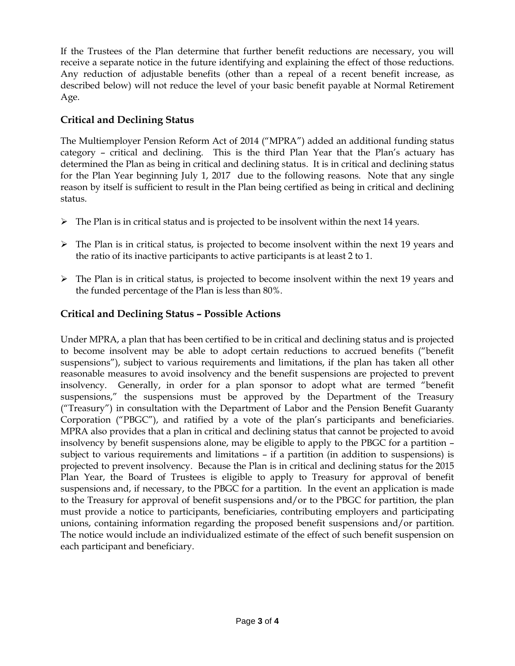If the Trustees of the Plan determine that further benefit reductions are necessary, you will receive a separate notice in the future identifying and explaining the effect of those reductions. Any reduction of adjustable benefits (other than a repeal of a recent benefit increase, as described below) will not reduce the level of your basic benefit payable at Normal Retirement Age.

## **Critical and Declining Status**

The Multiemployer Pension Reform Act of 2014 ("MPRA") added an additional funding status category – critical and declining. This is the third Plan Year that the Plan's actuary has determined the Plan as being in critical and declining status. It is in critical and declining status for the Plan Year beginning July 1, 2017 due to the following reasons. Note that any single reason by itself is sufficient to result in the Plan being certified as being in critical and declining status.

- $\triangleright$  The Plan is in critical status and is projected to be insolvent within the next 14 years.
- $\triangleright$  The Plan is in critical status, is projected to become insolvent within the next 19 years and the ratio of its inactive participants to active participants is at least 2 to 1.
- $\triangleright$  The Plan is in critical status, is projected to become insolvent within the next 19 years and the funded percentage of the Plan is less than 80%.

# **Critical and Declining Status – Possible Actions**

Under MPRA, a plan that has been certified to be in critical and declining status and is projected to become insolvent may be able to adopt certain reductions to accrued benefits ("benefit suspensions"), subject to various requirements and limitations, if the plan has taken all other reasonable measures to avoid insolvency and the benefit suspensions are projected to prevent insolvency. Generally, in order for a plan sponsor to adopt what are termed "benefit suspensions," the suspensions must be approved by the Department of the Treasury ("Treasury") in consultation with the Department of Labor and the Pension Benefit Guaranty Corporation ("PBGC"), and ratified by a vote of the plan's participants and beneficiaries. MPRA also provides that a plan in critical and declining status that cannot be projected to avoid insolvency by benefit suspensions alone, may be eligible to apply to the PBGC for a partition – subject to various requirements and limitations – if a partition (in addition to suspensions) is projected to prevent insolvency. Because the Plan is in critical and declining status for the 2015 Plan Year, the Board of Trustees is eligible to apply to Treasury for approval of benefit suspensions and, if necessary, to the PBGC for a partition. In the event an application is made to the Treasury for approval of benefit suspensions and/or to the PBGC for partition, the plan must provide a notice to participants, beneficiaries, contributing employers and participating unions, containing information regarding the proposed benefit suspensions and/or partition. The notice would include an individualized estimate of the effect of such benefit suspension on each participant and beneficiary.